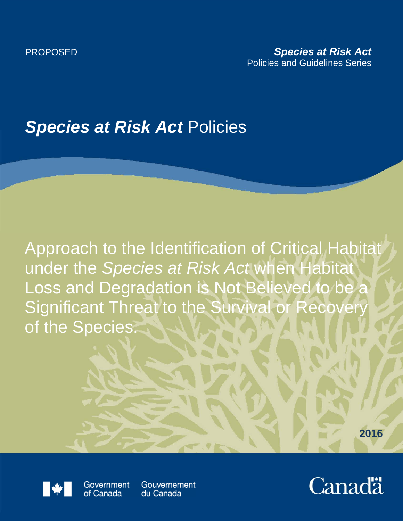## *Species at Risk Act* Policies

Approach to the Identification of Critical Habitat under the *Species at Risk Act* when Habitat Loss and Degradation is Not Believed to be a Significant Threat to the Survival or Recovery of the Species.





Government of Canada

Gouvernement du Canada

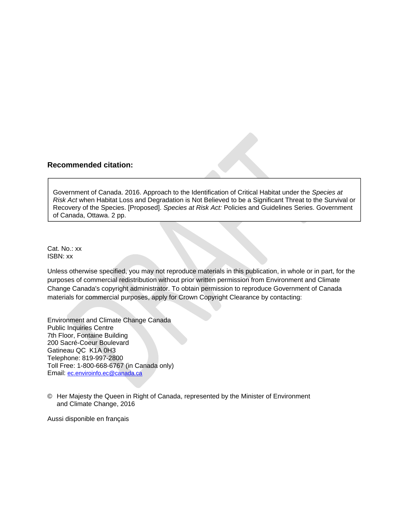## **Recommended citation:**

Government of Canada. 2016. Approach to the Identification of Critical Habitat under the *Species at Risk Act* when Habitat Loss and Degradation is Not Believed to be a Significant Threat to the Survival or Recovery of the Species. [Proposed]. *Species at Risk Act:* Policies and Guidelines Series. Government of Canada, Ottawa. 2 pp.

Cat. No.: xx ISBN: xx

Unless otherwise specified, you may not reproduce materials in this publication, in whole or in part, for the purposes of commercial redistribution without prior written permission from Environment and Climate Change Canada's copyright administrator. To obtain permission to reproduce Government of Canada materials for commercial purposes, apply for Crown Copyright Clearance by contacting:

Environment and Climate Change Canada Public Inquiries Centre 7th Floor, Fontaine Building 200 Sacré-Coeur Boulevard Gatineau QC K1A 0H3 Telephone: 819-997-2800 Toll Free: 1-800-668-6767 (in Canada only) Email: ec.enviroinfo.ec@canada.ca

© Her Majesty the Queen in Right of Canada, represented by the Minister of Environment and Climate Change, 2016

Aussi disponible en français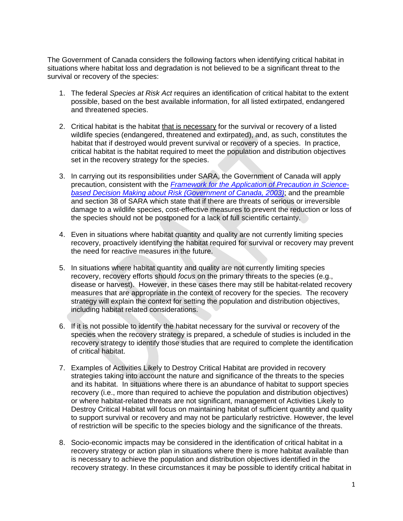The Government of Canada considers the following factors when identifying critical habitat in situations where habitat loss and degradation is not believed to be a significant threat to the survival or recovery of the species:

- 1. The federal *Species at Risk Act* requires an identification of critical habitat to the extent possible, based on the best available information, for all listed extirpated, endangered and threatened species.
- 2. Critical habitat is the habitat that is necessary for the survival or recovery of a listed wildlife species (endangered, threatened and extirpated), and, as such, constitutes the habitat that if destroyed would prevent survival or recovery of a species. In practice, critical habitat is the habitat required to meet the population and distribution objectives set in the recovery strategy for the species.
- 3. In carrying out its responsibilities under SARA, the Government of Canada will apply precaution, consistent with the *Framework for the Application of Precaution in Sciencebased Decision Making about Risk (Government of Canada, 2003)*; and the preamble and section 38 of SARA which state that if there are threats of serious or irreversible damage to a wildlife species, cost-effective measures to prevent the reduction or loss of the species should not be postponed for a lack of full scientific certainty.
- 4. Even in situations where habitat quantity and quality are not currently limiting species recovery, proactively identifying the habitat required for survival or recovery may prevent the need for reactive measures in the future.
- 5. In situations where habitat quantity and quality are not currently limiting species recovery, recovery efforts should *focus* on the primary threats to the species (e.g., disease or harvest). However, in these cases there may still be habitat-related recovery measures that are appropriate in the context of recovery for the species. The recovery strategy will explain the context for setting the population and distribution objectives, including habitat related considerations.
- 6. If it is not possible to identify the habitat necessary for the survival or recovery of the species when the recovery strategy is prepared, a schedule of studies is included in the recovery strategy to identify those studies that are required to complete the identification of critical habitat.
- 7. Examples of Activities Likely to Destroy Critical Habitat are provided in recovery strategies taking into account the nature and significance of the threats to the species and its habitat. In situations where there is an abundance of habitat to support species recovery (i.e., more than required to achieve the population and distribution objectives) or where habitat-related threats are not significant, management of Activities Likely to Destroy Critical Habitat will focus on maintaining habitat of sufficient quantity and quality to support survival or recovery and may not be particularly restrictive. However, the level of restriction will be specific to the species biology and the significance of the threats.
- 8. Socio-economic impacts may be considered in the identification of critical habitat in a recovery strategy or action plan in situations where there is more habitat available than is necessary to achieve the population and distribution objectives identified in the recovery strategy. In these circumstances it may be possible to identify critical habitat in